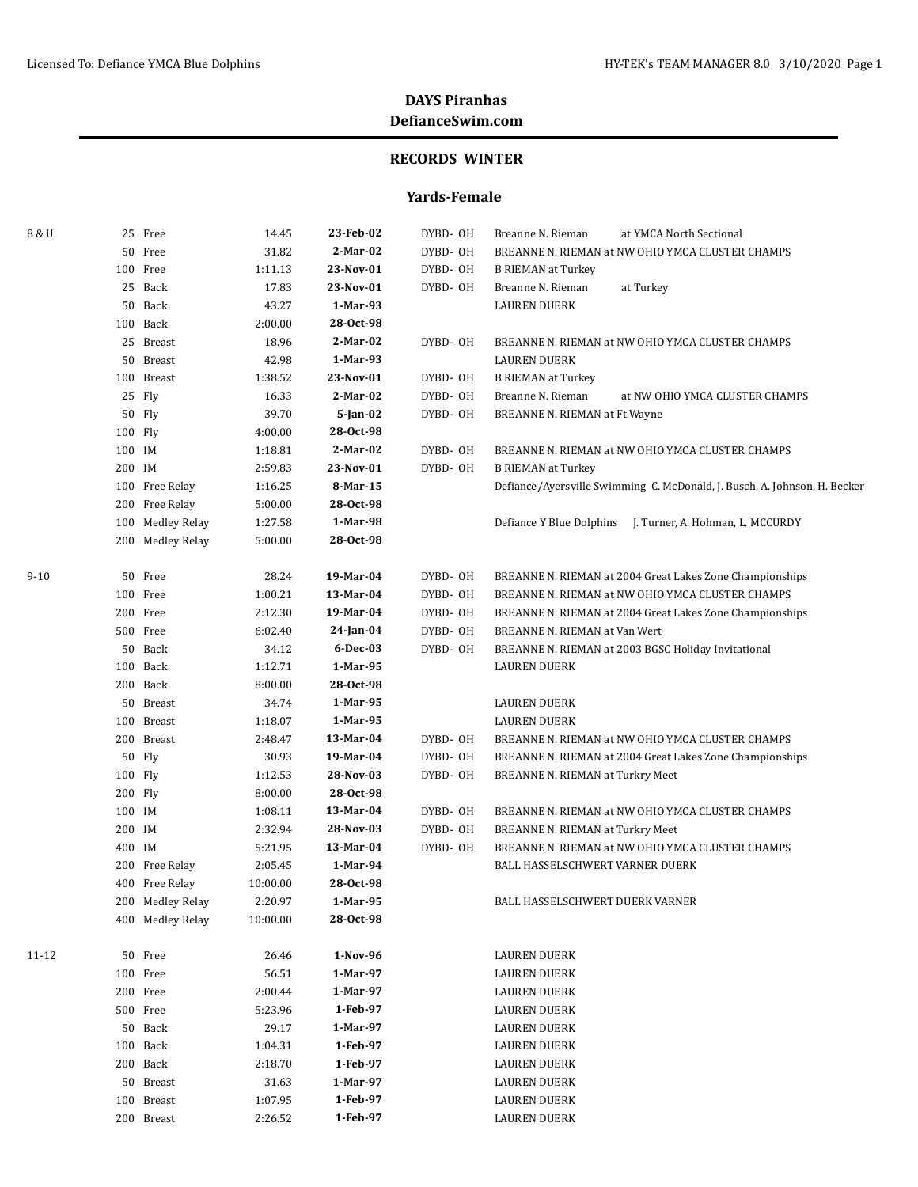### **RECORDS WINTER**

### **Yards-Female**

| 8 & U |         | 25 Free          | 14.45    | 23-Feb-02  | DYBD- OH | at YMCA North Sectional<br>Breanne N. Rieman                              |
|-------|---------|------------------|----------|------------|----------|---------------------------------------------------------------------------|
|       |         | 50 Free          | 31.82    | $2-Mar-02$ | DYBD-OH  | BREANNE N. RIEMAN at NW OHIO YMCA CLUSTER CHAMPS                          |
|       |         | 100 Free         | 1:11.13  | 23-Nov-01  | DYBD-OH  | <b>B RIEMAN at Turkey</b>                                                 |
|       |         | 25 Back          | 17.83    | 23-Nov-01  | DYBD- OH | Breanne N. Rieman<br>at Turkey                                            |
|       |         | 50 Back          | 43.27    | 1-Mar-93   |          | <b>LAUREN DUERK</b>                                                       |
|       |         | 100 Back         | 2:00.00  | 28-Oct-98  |          |                                                                           |
|       |         | 25 Breast        | 18.96    | 2-Mar-02   | DYBD- OH | BREANNE N. RIEMAN at NW OHIO YMCA CLUSTER CHAMPS                          |
|       |         | 50 Breast        | 42.98    | 1-Mar-93   |          | <b>LAUREN DUERK</b>                                                       |
|       |         | 100 Breast       | 1:38.52  | 23-Nov-01  | DYBD- OH | <b>B RIEMAN at Turkey</b>                                                 |
|       |         | 25 Fly           | 16.33    | 2-Mar-02   | DYBD-OH  | Breanne N. Rieman<br>at NW OHIO YMCA CLUSTER CHAMPS                       |
|       |         | 50 Fly           | 39.70    | 5-Jan-02   | DYBD-OH  | BREANNE N. RIEMAN at Ft. Wayne                                            |
|       | 100 Fly |                  | 4:00.00  | 28-Oct-98  |          |                                                                           |
|       | 100 IM  |                  | 1:18.81  | 2-Mar-02   | DYBD- OH | BREANNE N. RIEMAN at NW OHIO YMCA CLUSTER CHAMPS                          |
|       | 200 IM  |                  | 2:59.83  | 23-Nov-01  | DYBD- OH | <b>B RIEMAN at Turkey</b>                                                 |
|       |         | 100 Free Relay   | 1:16.25  | 8-Mar-15   |          | Defiance/Ayersville Swimming C. McDonald, J. Busch, A. Johnson, H. Becker |
|       |         | 200 Free Relay   | 5:00.00  | 28-Oct-98  |          |                                                                           |
|       |         | 100 Medley Relay | 1:27.58  | 1-Mar-98   |          | Defiance Y Blue Dolphins J. Turner, A. Hohman, L. MCCURDY                 |
|       |         | 200 Medley Relay | 5:00.00  | 28-Oct-98  |          |                                                                           |
| 9-10  |         | 50 Free          | 28.24    | 19-Mar-04  | DYBD- OH | BREANNE N. RIEMAN at 2004 Great Lakes Zone Championships                  |
|       |         | 100 Free         | 1:00.21  | 13-Mar-04  | DYBD- OH | BREANNE N. RIEMAN at NW OHIO YMCA CLUSTER CHAMPS                          |
|       |         | 200 Free         | 2:12.30  | 19-Mar-04  | DYBD-OH  | BREANNE N. RIEMAN at 2004 Great Lakes Zone Championships                  |
|       |         | 500 Free         | 6:02.40  | 24-Jan-04  | DYBD-OH  | BREANNE N. RIEMAN at Van Wert                                             |
|       |         | 50 Back          | 34.12    | 6-Dec-03   | DYBD- OH | BREANNE N. RIEMAN at 2003 BGSC Holiday Invitational                       |
|       |         | 100 Back         | 1:12.71  | 1-Mar-95   |          | <b>LAUREN DUERK</b>                                                       |
|       |         | 200 Back         | 8:00.00  | 28-Oct-98  |          |                                                                           |
|       |         | 50 Breast        | 34.74    | 1-Mar-95   |          | <b>LAUREN DUERK</b>                                                       |
|       |         | 100 Breast       | 1:18.07  | 1-Mar-95   |          | <b>LAUREN DUERK</b>                                                       |
|       |         | 200 Breast       | 2:48.47  | 13-Mar-04  | DYBD- OH | BREANNE N. RIEMAN at NW OHIO YMCA CLUSTER CHAMPS                          |
|       |         | 50 Fly           | 30.93    | 19-Mar-04  | DYBD- OH | BREANNE N. RIEMAN at 2004 Great Lakes Zone Championships                  |
|       | 100 Fly |                  | 1:12.53  | 28-Nov-03  | DYBD- OH | BREANNE N. RIEMAN at Turkry Meet                                          |
|       | 200 Fly |                  | 8:00.00  | 28-Oct-98  |          |                                                                           |
|       | 100 IM  |                  | 1:08.11  | 13-Mar-04  | DYBD- OH | BREANNE N. RIEMAN at NW OHIO YMCA CLUSTER CHAMPS                          |
|       | 200 IM  |                  | 2:32.94  | 28-Nov-03  | DYBD-OH  | BREANNE N. RIEMAN at Turkry Meet                                          |
|       | 400 IM  |                  | 5:21.95  | 13-Mar-04  | DYBD- OH | BREANNE N. RIEMAN at NW OHIO YMCA CLUSTER CHAMPS                          |
|       |         | 200 Free Relay   | 2:05.45  | 1-Mar-94   |          | BALL HASSELSCHWERT VARNER DUERK                                           |
|       |         | 400 Free Relay   | 10:00.00 | 28-Oct-98  |          |                                                                           |
|       |         | 200 Medley Relay | 2:20.97  | 1-Mar-95   |          | BALL HASSELSCHWERT DUERK VARNER                                           |
|       |         | 400 Medley Relay | 10:00.00 | 28-Oct-98  |          |                                                                           |
| 11-12 |         | 50 Free          | 26.46    | 1-Nov-96   |          | <b>LAUREN DUERK</b>                                                       |
|       |         | 100 Free         | 56.51    | 1-Mar-97   |          | <b>LAUREN DUERK</b>                                                       |
|       |         | 200 Free         | 2:00.44  | 1-Mar-97   |          | LAUREN DUERK                                                              |
|       |         | 500 Free         | 5:23.96  | 1-Feb-97   |          | LAUREN DUERK                                                              |
|       |         | 50 Back          | 29.17    | 1-Mar-97   |          | LAUREN DUERK                                                              |
|       |         | 100 Back         | 1:04.31  | 1-Feb-97   |          | LAUREN DUERK                                                              |
|       |         | 200 Back         | 2:18.70  | 1-Feb-97   |          | LAUREN DUERK                                                              |
|       |         | 50 Breast        | 31.63    | 1-Mar-97   |          | LAUREN DUERK                                                              |
|       |         | 100 Breast       | 1:07.95  | 1-Feb-97   |          | LAUREN DUERK                                                              |
|       |         | 200 Breast       | 2:26.52  | 1-Feb-97   |          | LAUREN DUERK                                                              |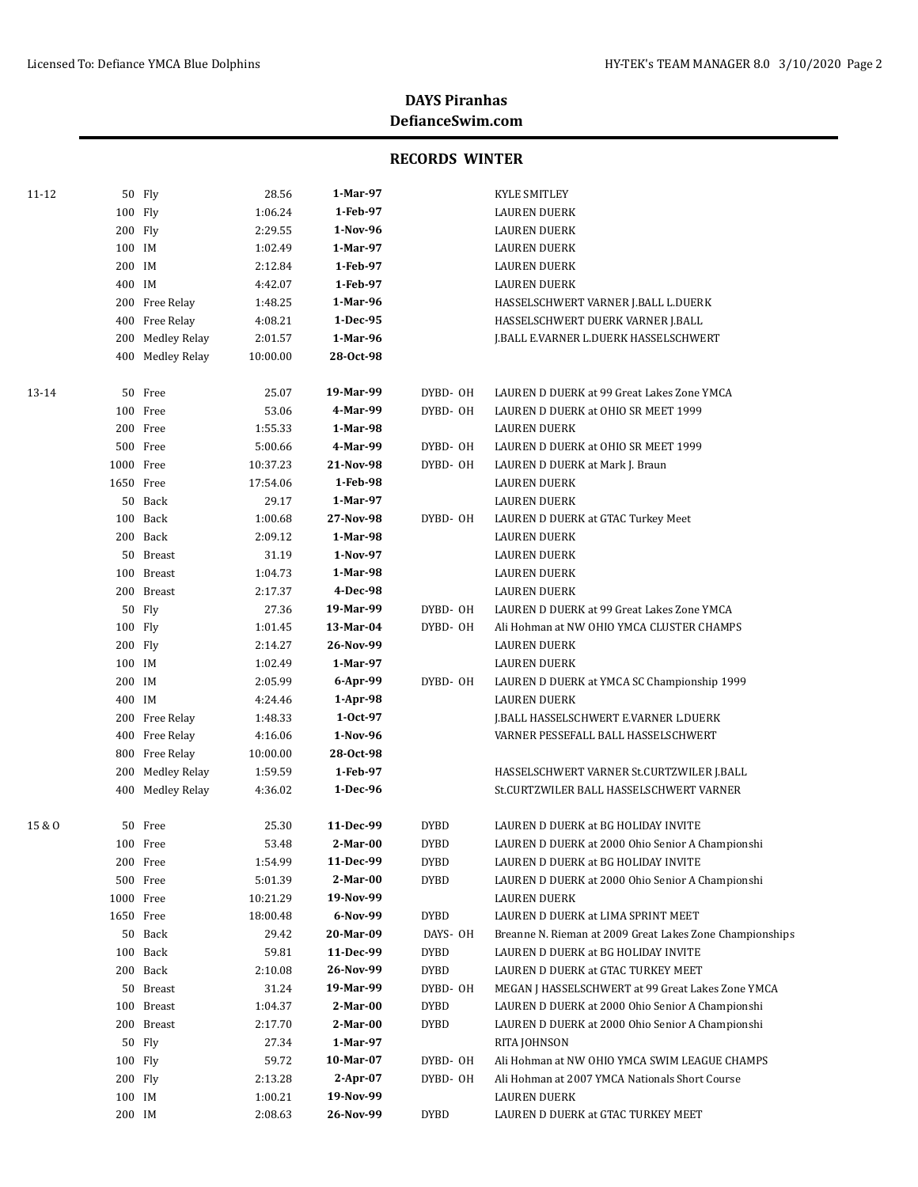| 11-12  |           | 50 Fly           | 28.56    | 1-Mar-97   |             | <b>KYLE SMITLEY</b>                                      |
|--------|-----------|------------------|----------|------------|-------------|----------------------------------------------------------|
|        | 100 Fly   |                  | 1:06.24  | 1-Feb-97   |             | <b>LAUREN DUERK</b>                                      |
|        | 200 Fly   |                  | 2:29.55  | 1-Nov-96   |             | <b>LAUREN DUERK</b>                                      |
|        | 100 IM    |                  | 1:02.49  | 1-Mar-97   |             | <b>LAUREN DUERK</b>                                      |
|        | 200 IM    |                  | 2:12.84  | 1-Feb-97   |             | <b>LAUREN DUERK</b>                                      |
|        | 400 IM    |                  | 4:42.07  | 1-Feb-97   |             | <b>LAUREN DUERK</b>                                      |
|        |           | 200 Free Relay   | 1:48.25  | 1-Mar-96   |             | HASSELSCHWERT VARNER J.BALL L.DUERK                      |
|        |           | 400 Free Relay   | 4:08.21  | 1-Dec-95   |             | HASSELSCHWERT DUERK VARNER J.BALL                        |
|        |           | 200 Medley Relay | 2:01.57  | 1-Mar-96   |             | J.BALL E.VARNER L.DUERK HASSELSCHWERT                    |
|        |           | 400 Medley Relay | 10:00.00 | 28-Oct-98  |             |                                                          |
| 13-14  |           | 50 Free          | 25.07    | 19-Mar-99  | DYBD- OH    | LAUREN D DUERK at 99 Great Lakes Zone YMCA               |
|        |           | 100 Free         | 53.06    | 4-Mar-99   | DYBD- OH    | LAUREN D DUERK at OHIO SR MEET 1999                      |
|        |           | 200 Free         | 1:55.33  | 1-Mar-98   |             | LAUREN DUERK                                             |
|        |           | 500 Free         | 5:00.66  | 4-Mar-99   | DYBD- OH    | LAUREN D DUERK at OHIO SR MEET 1999                      |
|        | 1000 Free |                  | 10:37.23 | 21-Nov-98  | DYBD- OH    | LAUREN D DUERK at Mark J. Braun                          |
|        | 1650 Free |                  | 17:54.06 | 1-Feb-98   |             | LAUREN DUERK                                             |
|        |           | 50 Back          | 29.17    | 1-Mar-97   |             | <b>LAUREN DUERK</b>                                      |
|        |           | 100 Back         | 1:00.68  | 27-Nov-98  | DYBD- OH    | LAUREN D DUERK at GTAC Turkey Meet                       |
|        |           | 200 Back         | 2:09.12  | 1-Mar-98   |             | LAUREN DUERK                                             |
|        |           | 50 Breast        | 31.19    | 1-Nov-97   |             | <b>LAUREN DUERK</b>                                      |
|        |           | 100 Breast       | 1:04.73  | 1-Mar-98   |             | LAUREN DUERK                                             |
|        |           | 200 Breast       | 2:17.37  | 4-Dec-98   |             | <b>LAUREN DUERK</b>                                      |
|        |           | 50 Fly           | 27.36    | 19-Mar-99  | DYBD- OH    | LAUREN D DUERK at 99 Great Lakes Zone YMCA               |
|        | 100 Fly   |                  | 1:01.45  | 13-Mar-04  | DYBD- OH    | Ali Hohman at NW OHIO YMCA CLUSTER CHAMPS                |
|        | 200 Fly   |                  | 2:14.27  | 26-Nov-99  |             | <b>LAUREN DUERK</b>                                      |
|        | 100 IM    |                  | 1:02.49  | 1-Mar-97   |             | <b>LAUREN DUERK</b>                                      |
|        | 200 IM    |                  | 2:05.99  | 6-Apr-99   | DYBD- OH    | LAUREN D DUERK at YMCA SC Championship 1999              |
|        | 400 IM    |                  | 4:24.46  | 1-Apr-98   |             | <b>LAUREN DUERK</b>                                      |
|        |           | 200 Free Relay   | 1:48.33  | $1-0ct-97$ |             | J.BALL HASSELSCHWERT E.VARNER L.DUERK                    |
|        |           | 400 Free Relay   | 4:16.06  | 1-Nov-96   |             | VARNER PESSEFALL BALL HASSELSCHWERT                      |
|        |           | 800 Free Relay   | 10:00.00 | 28-0ct-98  |             |                                                          |
|        |           | 200 Medley Relay | 1:59.59  | 1-Feb-97   |             | HASSELSCHWERT VARNER St.CURTZWILER J.BALL                |
|        |           | 400 Medley Relay | 4:36.02  | 1-Dec-96   |             | St.CURTZWILER BALL HASSELSCHWERT VARNER                  |
| 15 & O |           | 50 Free          | 25.30    | 11-Dec-99  | <b>DYBD</b> | LAUREN D DUERK at BG HOLIDAY INVITE                      |
|        |           | 100 Free         | 53.48    | $2-Mar-00$ | <b>DYBD</b> | LAUREN D DUERK at 2000 Ohio Senior A Championshi         |
|        |           | 200 Free         | 1:54.99  | 11-Dec-99  | <b>DYBD</b> | LAUREN D DUERK at BG HOLIDAY INVITE                      |
|        |           | 500 Free         | 5:01.39  | $2-Mar-00$ | <b>DYBD</b> | LAUREN D DUERK at 2000 Ohio Senior A Championshi         |
|        | 1000 Free |                  | 10:21.29 | 19-Nov-99  |             | <b>LAUREN DUERK</b>                                      |
|        | 1650 Free |                  | 18:00.48 | 6-Nov-99   | <b>DYBD</b> | LAUREN D DUERK at LIMA SPRINT MEET                       |
|        |           | 50 Back          | 29.42    | 20-Mar-09  | DAYS- OH    | Breanne N. Rieman at 2009 Great Lakes Zone Championships |
|        |           | 100 Back         | 59.81    | 11-Dec-99  | <b>DYBD</b> | LAUREN D DUERK at BG HOLIDAY INVITE                      |
|        |           | 200 Back         | 2:10.08  | 26-Nov-99  | <b>DYBD</b> | LAUREN D DUERK at GTAC TURKEY MEET                       |
|        |           | 50 Breast        | 31.24    | 19-Mar-99  | DYBD-OH     | MEGAN J HASSELSCHWERT at 99 Great Lakes Zone YMCA        |
|        |           | 100 Breast       | 1:04.37  | $2-Mar-00$ | <b>DYBD</b> | LAUREN D DUERK at 2000 Ohio Senior A Championshi         |
|        |           | 200 Breast       | 2:17.70  | $2-Mar-00$ | <b>DYBD</b> | LAUREN D DUERK at 2000 Ohio Senior A Championshi         |
|        |           | 50 Fly           | 27.34    | 1-Mar-97   |             | RITA JOHNSON                                             |
|        | 100 Fly   |                  | 59.72    | 10-Mar-07  | DYBD- OH    | Ali Hohman at NW OHIO YMCA SWIM LEAGUE CHAMPS            |
|        | 200 Fly   |                  | 2:13.28  | $2-Apr-07$ | DYBD- OH    | Ali Hohman at 2007 YMCA Nationals Short Course           |
|        | 100 IM    |                  | 1:00.21  | 19-Nov-99  |             | <b>LAUREN DUERK</b>                                      |
|        | 200 IM    |                  | 2:08.63  | 26-Nov-99  | <b>DYBD</b> | LAUREN D DUERK at GTAC TURKEY MEET                       |
|        |           |                  |          |            |             |                                                          |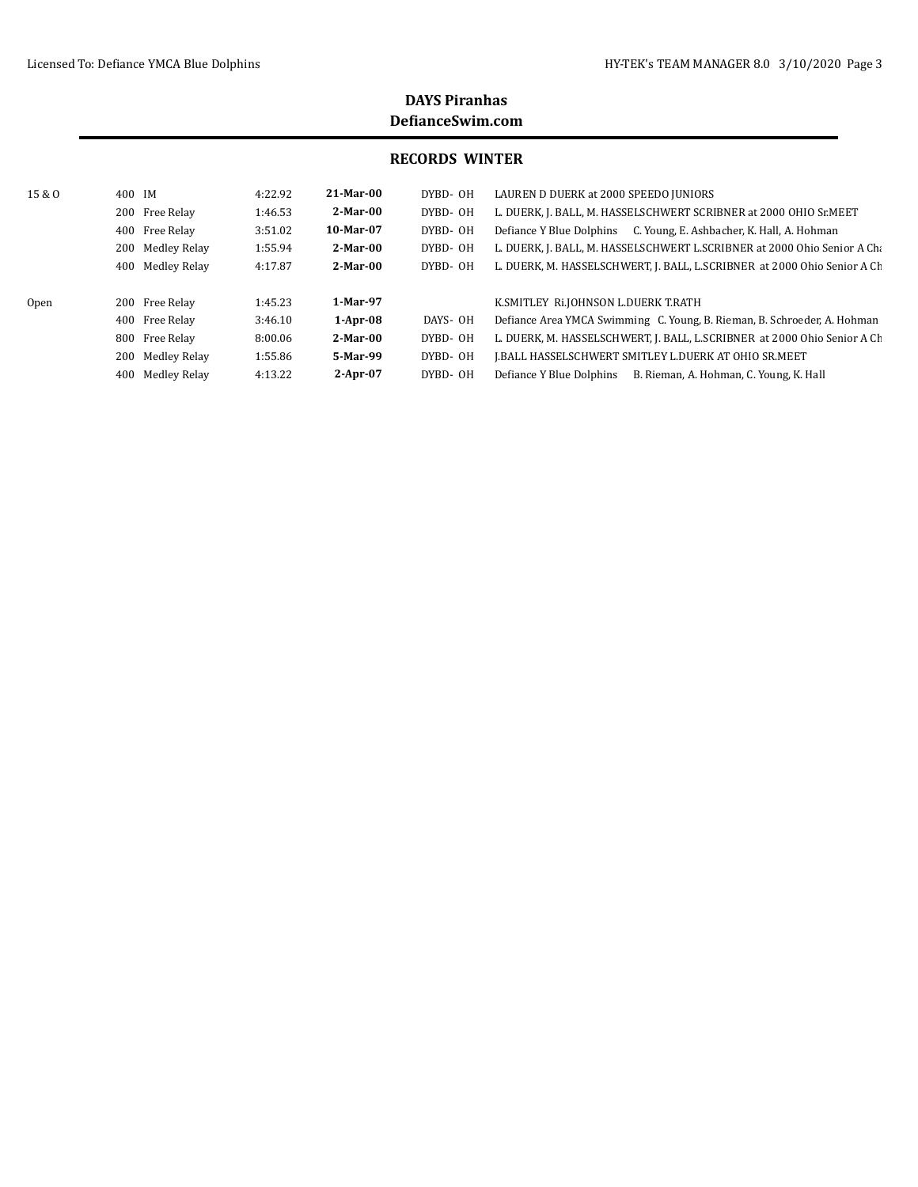| 15 & O | 400 IM           | 4:22.92 | 21-Mar-00   | DYBD-OH  | LAUREN D DUERK at 2000 SPEEDO JUNIORS                                    |
|--------|------------------|---------|-------------|----------|--------------------------------------------------------------------------|
|        | 200 Free Relay   | 1:46.53 | $2-Mar-00$  | DYBD- OH | L. DUERK, J. BALL, M. HASSELSCHWERT SCRIBNER at 2000 OHIO Sr.MEET        |
|        | 400 Free Relay   | 3:51.02 | $10-Mar-07$ | DYBD- OH | C. Young, E. Ashbacher, K. Hall, A. Hohman<br>Defiance Y Blue Dolphins   |
|        | 200 Medley Relay | 1:55.94 | 2-Mar-00    | DYBD-OH  | L. DUERK, J. BALL, M. HASSELSCHWERT L.SCRIBNER at 2000 Ohio Senior A Cha |
|        | 400 Medley Relay | 4:17.87 | $2-Mar-00$  | DYBD- OH | L. DUERK, M. HASSELSCHWERT, J. BALL, L.SCRIBNER at 2000 Ohio Senior A Ch |
|        |                  |         |             |          |                                                                          |
| Open   | 200 Free Relay   | 1:45.23 | 1-Mar-97    |          | K.SMITLEY RI.JOHNSON L.DUERK T.RATH                                      |
|        | 400 Free Relay   | 3:46.10 | $1-Apr-08$  | DAYS- OH | Defiance Area YMCA Swimming C. Young, B. Rieman, B. Schroeder, A. Hohman |
|        | 800 Free Relay   | 8:00.06 | $2-Mar-00$  | DYBD- OH | L. DUERK, M. HASSELSCHWERT, J. BALL, L.SCRIBNER at 2000 Ohio Senior A Ch |
|        | 200 Medley Relay | 1:55.86 | 5-Mar-99    | DYBD- OH | I.BALL HASSELSCHWERT SMITLEY L.DUERK AT OHIO SR.MEET                     |
|        | 400 Medley Relay | 4:13.22 | $2-Apr-07$  | DYBD-0H  | B. Rieman, A. Hohman, C. Young, K. Hall<br>Defiance Y Blue Dolphins      |
|        |                  |         |             |          |                                                                          |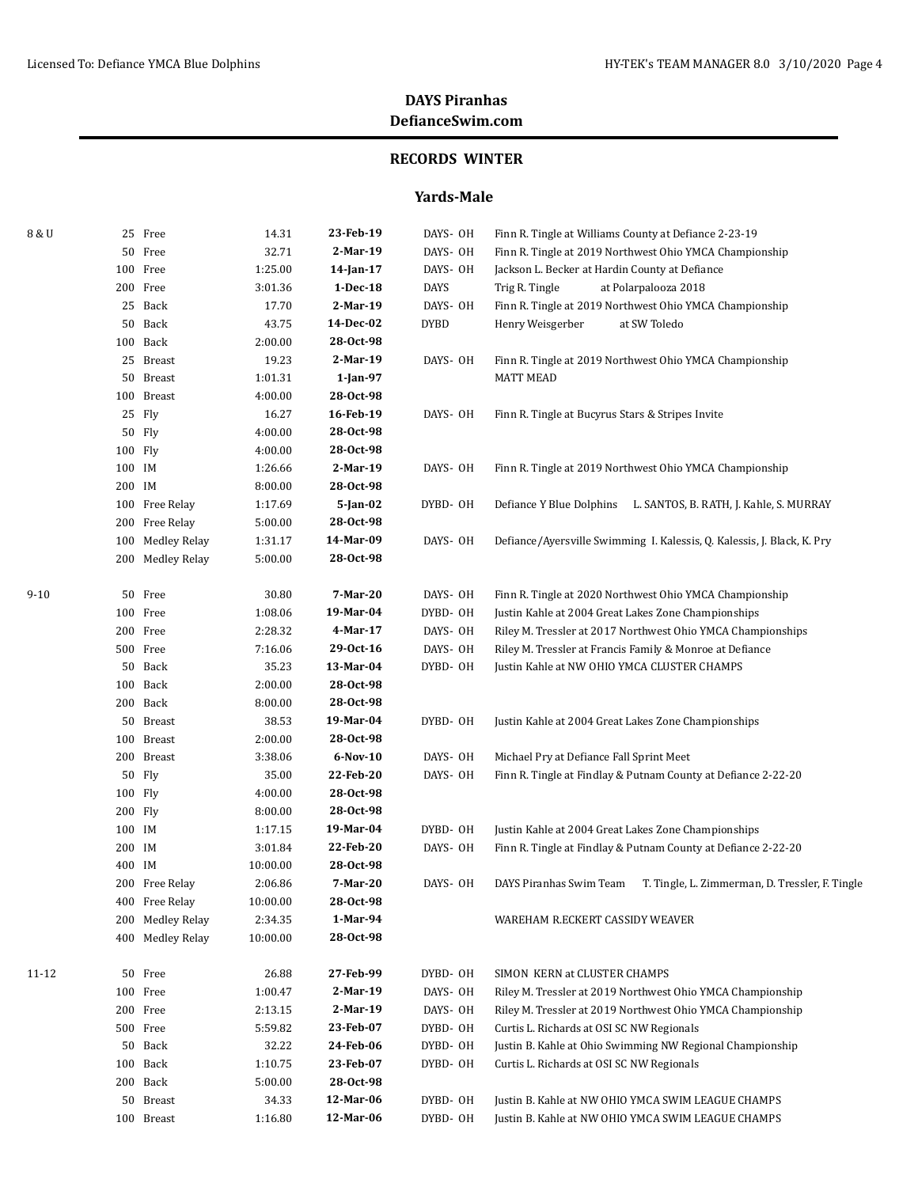### **RECORDS WINTER**

### **Yards-Male**

| 8 & U    |         | 25 Free          | 14.31    | 23-Feb-19   | DAYS- OH    | Finn R. Tingle at Williams County at Defiance 2-23-19                      |
|----------|---------|------------------|----------|-------------|-------------|----------------------------------------------------------------------------|
|          |         | 50 Free          | 32.71    | 2-Mar-19    | DAYS- OH    | Finn R. Tingle at 2019 Northwest Ohio YMCA Championship                    |
|          |         | 100 Free         | 1:25.00  | 14-Jan-17   | DAYS- OH    | Jackson L. Becker at Hardin County at Defiance                             |
|          |         | 200 Free         | 3:01.36  | 1-Dec-18    | <b>DAYS</b> | Trig R. Tingle<br>at Polarpalooza 2018                                     |
|          |         | 25 Back          | 17.70    | 2-Mar-19    | DAYS- OH    | Finn R. Tingle at 2019 Northwest Ohio YMCA Championship                    |
|          |         | 50 Back          | 43.75    | 14-Dec-02   | <b>DYBD</b> | Henry Weisgerber<br>at SW Toledo                                           |
|          |         | 100 Back         | 2:00.00  | 28-Oct-98   |             |                                                                            |
|          |         | 25 Breast        | 19.23    | 2-Mar-19    | DAYS- OH    | Finn R. Tingle at 2019 Northwest Ohio YMCA Championship                    |
|          |         | 50 Breast        | 1:01.31  | $1$ -Jan-97 |             | <b>MATT MEAD</b>                                                           |
|          |         | 100 Breast       | 4:00.00  | 28-0ct-98   |             |                                                                            |
|          |         | 25 Fly           | 16.27    | 16-Feb-19   | DAYS- OH    | Finn R. Tingle at Bucyrus Stars & Stripes Invite                           |
|          |         | 50 Fly           | 4:00.00  | 28-Oct-98   |             |                                                                            |
|          | 100 Fly |                  | 4:00.00  | 28-Oct-98   |             |                                                                            |
|          | 100 IM  |                  | 1:26.66  | 2-Mar-19    | DAYS- OH    | Finn R. Tingle at 2019 Northwest Ohio YMCA Championship                    |
|          | 200 IM  |                  | 8:00.00  | 28-Oct-98   |             |                                                                            |
|          |         | 100 Free Relay   | 1:17.69  | $5$ -Jan-02 | DYBD- OH    | Defiance Y Blue Dolphins<br>L. SANTOS, B. RATH, J. Kahle, S. MURRAY        |
|          |         | 200 Free Relay   | 5:00.00  | 28-Oct-98   |             |                                                                            |
|          |         | 100 Medley Relay | 1:31.17  | 14-Mar-09   | DAYS- OH    | Defiance/Ayersville Swimming I. Kalessis, Q. Kalessis, J. Black, K. Pry    |
|          |         | 200 Medley Relay | 5:00.00  | 28-Oct-98   |             |                                                                            |
| $9 - 10$ |         | 50 Free          | 30.80    | 7-Mar-20    | DAYS- OH    | Finn R. Tingle at 2020 Northwest Ohio YMCA Championship                    |
|          |         | 100 Free         | 1:08.06  | 19-Mar-04   | DYBD-OH     | Justin Kahle at 2004 Great Lakes Zone Championships                        |
|          |         | 200 Free         | 2:28.32  | 4-Mar-17    | DAYS- OH    | Riley M. Tressler at 2017 Northwest Ohio YMCA Championships                |
|          |         | 500 Free         | 7:16.06  | 29-0ct-16   | DAYS- OH    | Riley M. Tressler at Francis Family & Monroe at Defiance                   |
|          |         | 50 Back          | 35.23    | 13-Mar-04   | DYBD-OH     | Justin Kahle at NW OHIO YMCA CLUSTER CHAMPS                                |
|          |         | 100 Back         | 2:00.00  | 28-0ct-98   |             |                                                                            |
|          |         | 200 Back         | 8:00.00  | 28-0ct-98   |             |                                                                            |
|          |         | 50 Breast        | 38.53    | 19-Mar-04   | DYBD- OH    | Justin Kahle at 2004 Great Lakes Zone Championships                        |
|          |         | 100 Breast       | 2:00.00  | 28-Oct-98   |             |                                                                            |
|          |         | 200 Breast       | 3:38.06  | $6-Nov-10$  | DAYS- OH    | Michael Pry at Defiance Fall Sprint Meet                                   |
|          |         | 50 Fly           | 35.00    | 22-Feb-20   | DAYS- OH    | Finn R. Tingle at Findlay & Putnam County at Defiance 2-22-20              |
|          | 100 Fly |                  | 4:00.00  | 28-0ct-98   |             |                                                                            |
|          | 200 Fly |                  | 8:00.00  | 28-0ct-98   |             |                                                                            |
|          | 100 IM  |                  | 1:17.15  | 19-Mar-04   | DYBD-OH     | Justin Kahle at 2004 Great Lakes Zone Championships                        |
|          | 200 IM  |                  | 3:01.84  | 22-Feb-20   | DAYS- OH    | Finn R. Tingle at Findlay & Putnam County at Defiance 2-22-20              |
|          | 400 IM  |                  | 10:00.00 | 28-Oct-98   |             |                                                                            |
|          |         | 200 Free Relay   | 2:06.86  | 7-Mar-20    | DAYS- OH    | DAYS Piranhas Swim Team<br>T. Tingle, L. Zimmerman, D. Tressler, F. Tingle |
|          |         | 400 Free Relay   | 10:00.00 | 28-Oct-98   |             |                                                                            |
|          |         | 200 Medley Relay | 2:34.35  | 1-Mar-94    |             | WAREHAM R.ECKERT CASSIDY WEAVER                                            |
|          | 400     | Medley Relay     | 10:00.00 | 28-Oct-98   |             |                                                                            |
| 11-12    |         | 50 Free          | 26.88    | 27-Feb-99   | DYBD-OH     | SIMON KERN at CLUSTER CHAMPS                                               |
|          |         | 100 Free         | 1:00.47  | 2-Mar-19    | DAYS- OH    | Riley M. Tressler at 2019 Northwest Ohio YMCA Championship                 |
|          |         | 200 Free         | 2:13.15  | 2-Mar-19    | DAYS- OH    | Riley M. Tressler at 2019 Northwest Ohio YMCA Championship                 |
|          |         | 500 Free         | 5:59.82  | 23-Feb-07   | DYBD- OH    | Curtis L. Richards at OSI SC NW Regionals                                  |
|          |         | 50 Back          | 32.22    | 24-Feb-06   | DYBD-OH     | Justin B. Kahle at Ohio Swimming NW Regional Championship                  |
|          |         | 100 Back         | 1:10.75  | 23-Feb-07   | DYBD- OH    | Curtis L. Richards at OSI SC NW Regionals                                  |
|          |         | 200 Back         | 5:00.00  | 28-Oct-98   |             |                                                                            |
|          |         | 50 Breast        | 34.33    | 12-Mar-06   | DYBD-OH     | Justin B. Kahle at NW OHIO YMCA SWIM LEAGUE CHAMPS                         |
|          |         | 100 Breast       | 1:16.80  | 12-Mar-06   | DYBD- OH    | Justin B. Kahle at NW OHIO YMCA SWIM LEAGUE CHAMPS                         |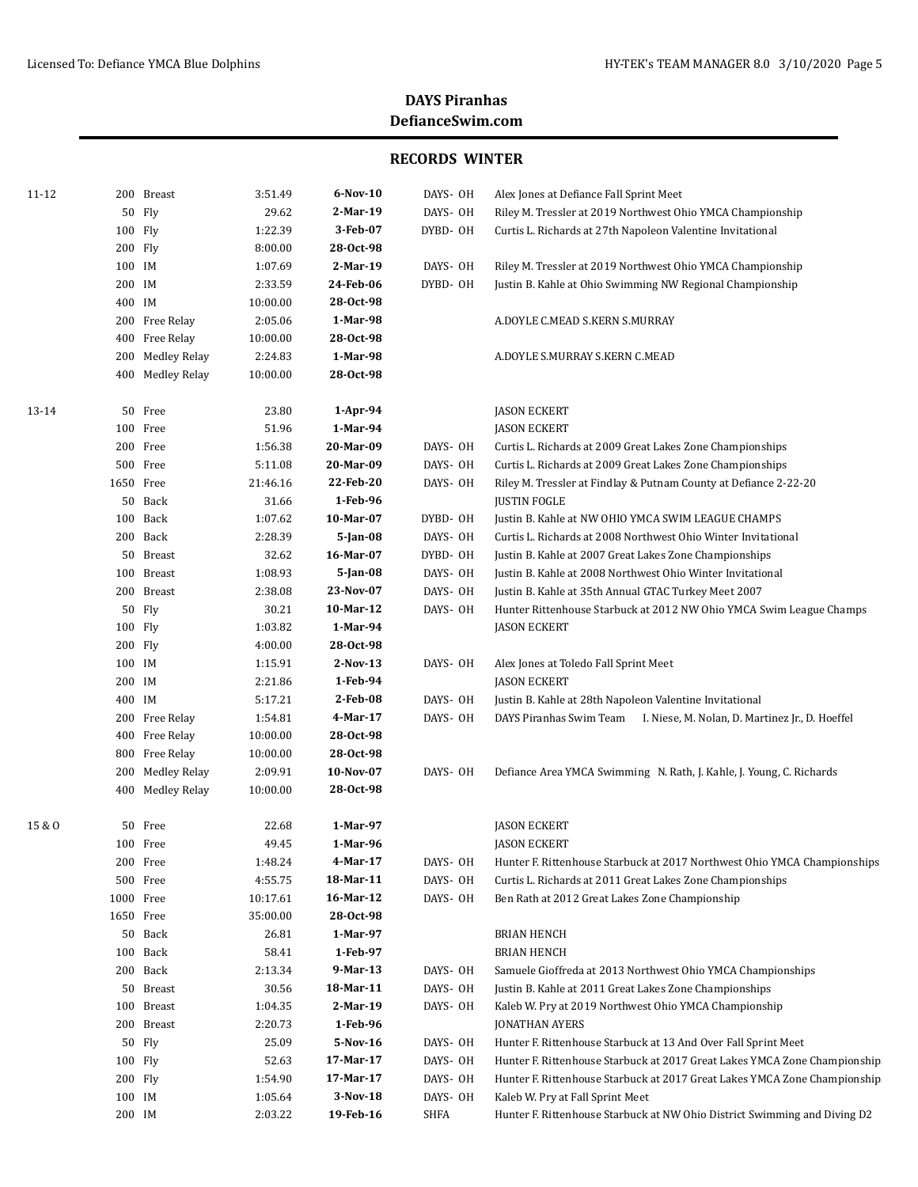| 11-12  |            | 200 Breast                   | 3:51.49             | 6-Nov-10              | DAYS- OH | Alex Jones at Defiance Fall Sprint Meet                                    |
|--------|------------|------------------------------|---------------------|-----------------------|----------|----------------------------------------------------------------------------|
|        |            | 50 Flv                       | 29.62               | 2-Mar-19              | DAYS- OH | Riley M. Tressler at 2019 Northwest Ohio YMCA Championship                 |
|        | 100 Fly    |                              | 1:22.39             | 3-Feb-07              | DYBD- OH | Curtis L. Richards at 27th Napoleon Valentine Invitational                 |
|        | 200 Fly    |                              | 8:00.00             | 28-0ct-98             |          |                                                                            |
|        | 100 IM     |                              | 1:07.69             | 2-Mar-19              | DAYS- OH | Riley M. Tressler at 2019 Northwest Ohio YMCA Championship                 |
|        | 200 IM     |                              | 2:33.59             | 24-Feb-06             | DYBD-OH  | Justin B. Kahle at Ohio Swimming NW Regional Championship                  |
|        | 400 IM     |                              | 10:00.00            | 28-Oct-98             |          |                                                                            |
|        |            | 200 Free Relay               | 2:05.06             | 1-Mar-98              |          | A.DOYLE C.MEAD S.KERN S.MURRAY                                             |
|        | 400        | Free Relay                   | 10:00.00            | 28-Oct-98             |          |                                                                            |
|        | 200        | <b>Medley Relay</b>          | 2:24.83             | 1-Mar-98              |          | A.DOYLE S.MURRAY S.KERN C.MEAD                                             |
|        | 400        | <b>Medley Relay</b>          | 10:00.00            | 28-Oct-98             |          |                                                                            |
| 13-14  |            | 50 Free                      | 23.80               | $1-Apr-94$            |          | <b>JASON ECKERT</b>                                                        |
|        |            | 100 Free                     | 51.96               | 1-Mar-94              |          | <b>JASON ECKERT</b>                                                        |
|        |            | 200 Free                     | 1:56.38             | 20-Mar-09             | DAYS- OH | Curtis L. Richards at 2009 Great Lakes Zone Championships                  |
|        |            | 500 Free                     | 5:11.08             | 20-Mar-09             | DAYS- OH | Curtis L. Richards at 2009 Great Lakes Zone Championships                  |
|        |            | 1650 Free                    | 21:46.16            | 22-Feb-20             | DAYS- OH | Riley M. Tressler at Findlay & Putnam County at Defiance 2-22-20           |
|        |            | 50 Back                      | 31.66               | 1-Feb-96              |          | <b>JUSTIN FOGLE</b>                                                        |
|        |            | 100 Back                     | 1:07.62             | 10-Mar-07             | DYBD-OH  | Justin B. Kahle at NW OHIO YMCA SWIM LEAGUE CHAMPS                         |
|        |            | 200 Back                     | 2:28.39             | 5-Jan-08              | DAYS- OH | Curtis L. Richards at 2008 Northwest Ohio Winter Invitational              |
|        |            | 50 Breast                    | 32.62               | 16-Mar-07             | DYBD- OH | Justin B. Kahle at 2007 Great Lakes Zone Championships                     |
|        |            | 100 Breast                   | 1:08.93             | 5-Jan-08              | DAYS- OH | Justin B. Kahle at 2008 Northwest Ohio Winter Invitational                 |
|        |            | 200 Breast                   | 2:38.08             | 23-Nov-07             | DAYS- OH | Justin B. Kahle at 35th Annual GTAC Turkey Meet 2007                       |
|        |            | 50 Fly                       | 30.21               | 10-Mar-12             | DAYS- OH | Hunter Rittenhouse Starbuck at 2012 NW Ohio YMCA Swim League Champs        |
|        | 100 Fly    |                              | 1:03.82             | 1-Mar-94              |          | JASON ECKERT                                                               |
|        | 200 Fly    |                              | 4:00.00             | 28-Oct-98             |          |                                                                            |
|        | 100 IM     |                              | 1:15.91             | $2-Nov-13$            | DAYS- OH | Alex Jones at Toledo Fall Sprint Meet                                      |
|        | 200 IM     |                              | 2:21.86             | 1-Feb-94              |          | <b>JASON ECKERT</b>                                                        |
|        | 400 IM     |                              | 5:17.21             | 2-Feb-08              | DAYS- OH | Justin B. Kahle at 28th Napoleon Valentine Invitational                    |
|        |            | 200 Free Relay<br>Free Relay | 1:54.81<br>10:00.00 | 4-Mar-17<br>28-Oct-98 | DAYS- OH | DAYS Piranhas Swim Team<br>I. Niese, M. Nolan, D. Martinez Jr., D. Hoeffel |
|        | 400<br>800 | Free Relay                   | 10:00.00            | 28-Oct-98             |          |                                                                            |
|        | 200        | <b>Medley Relay</b>          | 2:09.91             | 10-Nov-07             | DAYS- OH | Defiance Area YMCA Swimming N. Rath, J. Kahle, J. Young, C. Richards       |
|        | 400        | <b>Medley Relay</b>          | 10:00.00            | 28-Oct-98             |          |                                                                            |
| 15 & O | 50         | Free                         | 22.68               | 1-Mar-97              |          | <b>JASON ECKERT</b>                                                        |
|        |            | 100 Free                     | 49.45               | 1-Mar-96              |          | <b>JASON ECKERT</b>                                                        |
|        |            | 200 Free                     | 1:48.24             | 4-Mar-17              | DAYS- OH | Hunter F. Rittenhouse Starbuck at 2017 Northwest Ohio YMCA Championships   |
|        |            | 500 Free                     | 4:55.75             | 18-Mar-11             | DAYS- OH | Curtis L. Richards at 2011 Great Lakes Zone Championships                  |
|        |            | 1000 Free                    | 10:17.61            | 16-Mar-12             | DAYS- OH | Ben Rath at 2012 Great Lakes Zone Championship                             |
|        |            | 1650 Free                    | 35:00.00            | 28-Oct-98             |          |                                                                            |
|        | 50         | Back                         | 26.81               | 1-Mar-97              |          | <b>BRIAN HENCH</b>                                                         |
|        | 100        | Back                         | 58.41               | 1-Feb-97              |          | <b>BRIAN HENCH</b>                                                         |
|        |            | 200 Back                     | 2:13.34             | 9-Mar-13              | DAYS- OH | Samuele Gioffreda at 2013 Northwest Ohio YMCA Championships                |
|        | 50         | Breast                       | 30.56               | 18-Mar-11             | DAYS- OH | Justin B. Kahle at 2011 Great Lakes Zone Championships                     |
|        | 100        | Breast                       | 1:04.35             | 2-Mar-19              | DAYS- OH | Kaleb W. Pry at 2019 Northwest Ohio YMCA Championship                      |
|        |            | 200 Breast                   | 2:20.73             | 1-Feb-96              |          | <b>JONATHAN AYERS</b>                                                      |
|        |            | 50 Fly                       | 25.09               | 5-Nov-16              | DAYS- OH | Hunter F. Rittenhouse Starbuck at 13 And Over Fall Sprint Meet             |
|        | 100 Fly    |                              | 52.63               | 17-Mar-17             | DAYS- OH | Hunter F. Rittenhouse Starbuck at 2017 Great Lakes YMCA Zone Championship  |
|        | 200 Fly    |                              | 1:54.90             | 17-Mar-17             | DAYS- OH | Hunter F. Rittenhouse Starbuck at 2017 Great Lakes YMCA Zone Championship  |
|        | 100 IM     |                              | 1:05.64             | 3-Nov-18              | DAYS- OH | Kaleb W. Pry at Fall Sprint Meet                                           |
|        | 200 IM     |                              | 2:03.22             | 19-Feb-16             | SHFA     | Hunter F. Rittenhouse Starbuck at NW Ohio District Swimming and Diving D2  |